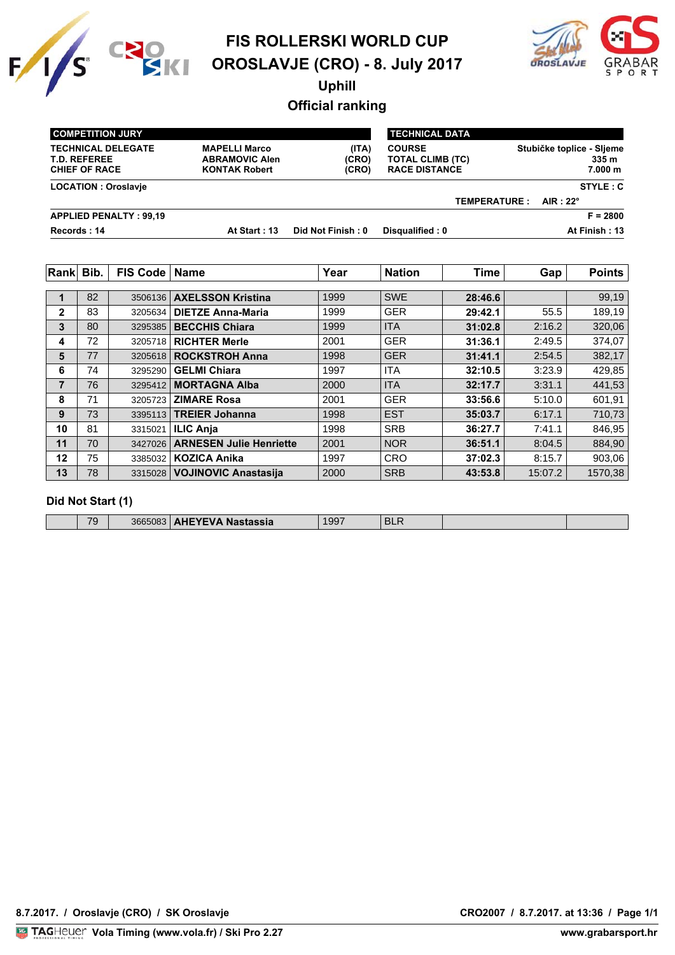



**Uphill**

**Official ranking**

| <b>COMPETITION JURY</b>                                                  |                                                                       |                         | <b>TECHNICAL DATA</b>                                            |                                               |
|--------------------------------------------------------------------------|-----------------------------------------------------------------------|-------------------------|------------------------------------------------------------------|-----------------------------------------------|
| <b>TECHNICAL DELEGATE</b><br><b>T.D. REFEREE</b><br><b>CHIEF OF RACE</b> | <b>MAPELLI Marco</b><br><b>ABRAMOVIC Alen</b><br><b>KONTAK Robert</b> | (ITA)<br>(CRO)<br>(CRO) | <b>COURSE</b><br><b>TOTAL CLIMB (TC)</b><br><b>RACE DISTANCE</b> | Stubičke toplice - Sljeme<br>335 m<br>7.000 m |
| <b>LOCATION: Oroslavie</b>                                               |                                                                       |                         |                                                                  | STYLE: C                                      |
|                                                                          |                                                                       |                         |                                                                  | AIR : $22^{\circ}$<br><b>TEMPERATURE:</b>     |
| <b>APPLIED PENALTY: 99.19</b>                                            |                                                                       |                         |                                                                  | $F = 2800$                                    |
| Records: 14                                                              | At Start: 13                                                          | Did Not Finish: 0       | Disqualified: 0                                                  | At Finish: 13                                 |

| <b>Rank</b>    | Bib. | FIS Code   Name |                                 | Year | <b>Nation</b> | <b>Time</b> | Gap     | <b>Points</b> |
|----------------|------|-----------------|---------------------------------|------|---------------|-------------|---------|---------------|
|                |      |                 |                                 |      |               |             |         |               |
|                | 82   | 3506136         | <b>AXELSSON Kristina</b>        | 1999 | <b>SWE</b>    | 28:46.6     |         | 99,19         |
| $\overline{2}$ | 83   | 3205634         | <b>DIETZE Anna-Maria</b>        | 1999 | <b>GER</b>    | 29:42.1     | 55.5    | 189,19        |
| 3              | 80   | 3295385         | <b>BECCHIS Chiara</b>           | 1999 | <b>ITA</b>    | 31:02.8     | 2:16.2  | 320,06        |
| 4              | 72   | 3205718         | <b>RICHTER Merle</b>            | 2001 | <b>GER</b>    | 31:36.1     | 2:49.5  | 374,07        |
| 5              | 77   | 3205618         | <b>ROCKSTROH Anna</b>           | 1998 | <b>GER</b>    | 31:41.1     | 2:54.5  | 382,17        |
| 6              | 74   | 3295290         | <b>GELMI Chiara</b>             | 1997 | <b>ITA</b>    | 32:10.5     | 3:23.9  | 429,85        |
| $\overline{7}$ | 76   | 3295412         | <b>MORTAGNA Alba</b>            | 2000 | <b>ITA</b>    | 32:17.7     | 3:31.1  | 441,53        |
| 8              | 71   | 3205723         | <b>ZIMARE Rosa</b>              | 2001 | <b>GER</b>    | 33:56.6     | 5:10.0  | 601,91        |
| 9              | 73   | 3395113         | <b>TREIER Johanna</b>           | 1998 | <b>EST</b>    | 35:03.7     | 6:17.1  | 710,73        |
| 10             | 81   | 3315021         | <b>ILIC Anja</b>                | 1998 | <b>SRB</b>    | 36:27.7     | 7:41.1  | 846,95        |
| 11             | 70   |                 | 3427026 ARNESEN Julie Henriette | 2001 | <b>NOR</b>    | 36:51.1     | 8:04.5  | 884,90        |
| 12             | 75   |                 | 3385032   KOZICA Anika          | 1997 | <b>CRO</b>    | 37:02.3     | 8:15.7  | 903,06        |
| 13             | 78   |                 | 3315028 VOJINOVIC Anastasija    | 2000 | <b>SRB</b>    | 43:53.8     | 15:07.2 | 1570,38       |

#### **Did Not Start (1)**

| <b>AHEYEVA Nastassia</b><br>70<br>3665083<br>$\tilde{\phantom{a}}$ | 1997 | DLI. |  |  |
|--------------------------------------------------------------------|------|------|--|--|
|--------------------------------------------------------------------|------|------|--|--|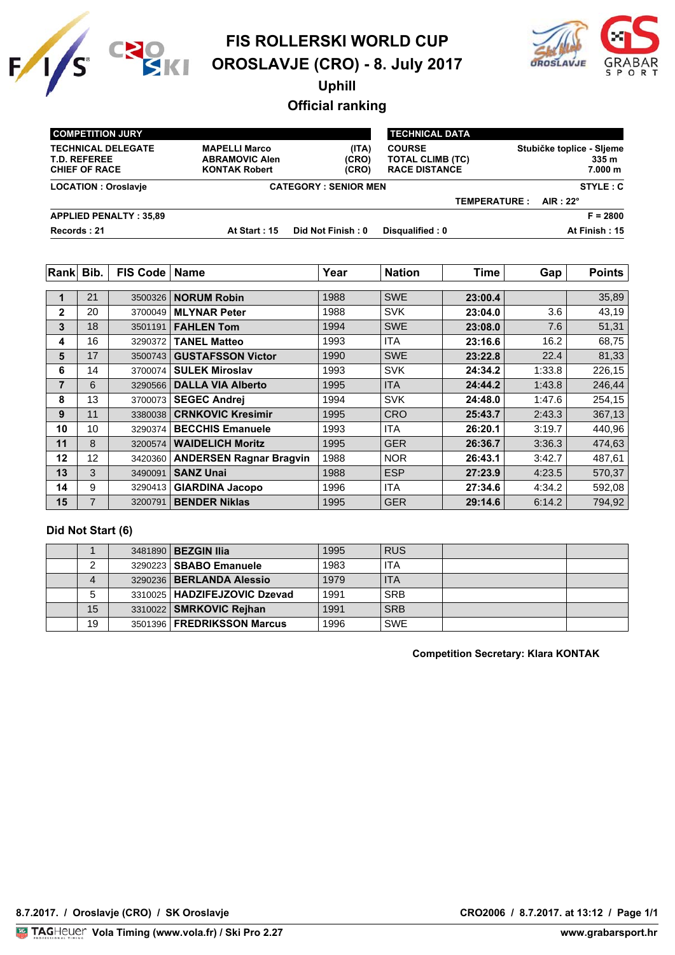



**Uphill**

# **Official ranking**

| <b>COMPETITION JURY</b>                                                  |                                                                       |                         | <b>TECHNICAL DATA</b>                                            |                     |                                               |
|--------------------------------------------------------------------------|-----------------------------------------------------------------------|-------------------------|------------------------------------------------------------------|---------------------|-----------------------------------------------|
| <b>TECHNICAL DELEGATE</b><br><b>T.D. REFEREE</b><br><b>CHIEF OF RACE</b> | <b>MAPELLI Marco</b><br><b>ABRAMOVIC Alen</b><br><b>KONTAK Robert</b> | (ITA)<br>(CRO)<br>(CRO) | <b>COURSE</b><br><b>TOTAL CLIMB (TC)</b><br><b>RACE DISTANCE</b> |                     | Stubičke toplice - Sljeme<br>335 m<br>7.000 m |
| <b>LOCATION: Oroslavie</b>                                               | <b>CATEGORY: SENIOR MEN</b>                                           |                         | STYLE: C                                                         |                     |                                               |
|                                                                          |                                                                       |                         |                                                                  | <b>TEMPERATURE:</b> | AIR : $22^\circ$                              |
| <b>APPLIED PENALTY: 35,89</b>                                            |                                                                       |                         |                                                                  |                     | $F = 2800$                                    |
| Records: 21                                                              | At Start: 15                                                          | Did Not Finish: 0       | Disqualified: 0                                                  |                     | At Finish: 15                                 |

| Rank         | Bib. | FIS Code   Name |                                | Year | <b>Nation</b> | <b>Time</b> | Gap    | <b>Points</b> |
|--------------|------|-----------------|--------------------------------|------|---------------|-------------|--------|---------------|
|              |      |                 |                                |      |               |             |        |               |
| 1            | 21   | 3500326         | <b>NORUM Robin</b>             | 1988 | <b>SWE</b>    | 23:00.4     |        | 35,89         |
| $\mathbf{2}$ | 20   | 3700049         | <b>MLYNAR Peter</b>            | 1988 | <b>SVK</b>    | 23:04.0     | 3.6    | 43,19         |
| 3            | 18   | 3501191         | <b>FAHLEN Tom</b>              | 1994 | <b>SWE</b>    | 23:08.0     | 7.6    | 51,31         |
| 4            | 16   | 3290372         | <b>TANEL Matteo</b>            | 1993 | ITA           | 23:16.6     | 16.2   | 68,75         |
| 5            | 17   | 3500743         | <b>GUSTAFSSON Victor</b>       | 1990 | <b>SWE</b>    | 23:22.8     | 22.4   | 81,33         |
| 6            | 14   | 3700074         | <b>SULEK Miroslav</b>          | 1993 | <b>SVK</b>    | 24:34.2     | 1:33.8 | 226,15        |
| 7            | 6    | 3290566         | <b>DALLA VIA Alberto</b>       | 1995 | <b>ITA</b>    | 24:44.2     | 1:43.8 | 246,44        |
| 8            | 13   | 3700073         | <b>SEGEC Andrej</b>            | 1994 | <b>SVK</b>    | 24:48.0     | 1:47.6 | 254,15        |
| 9            | 11   | 3380038         | <b>CRNKOVIC Kresimir</b>       | 1995 | <b>CRO</b>    | 25:43.7     | 2:43.3 | 367,13        |
| 10           | 10   | 3290374         | <b>BECCHIS Emanuele</b>        | 1993 | <b>ITA</b>    | 26:20.1     | 3:19.7 | 440,96        |
| 11           | 8    | 3200574         | <b>WAIDELICH Moritz</b>        | 1995 | <b>GER</b>    | 26:36.7     | 3:36.3 | 474,63        |
| 12           | 12   | 3420360         | <b>ANDERSEN Ragnar Bragvin</b> | 1988 | <b>NOR</b>    | 26:43.1     | 3:42.7 | 487,61        |
| 13           | 3    | 3490091         | <b>SANZ Unai</b>               | 1988 | <b>ESP</b>    | 27:23.9     | 4:23.5 | 570,37        |
| 14           | 9    | 3290413         | <b>GIARDINA Jacopo</b>         | 1996 | <b>ITA</b>    | 27:34.6     | 4:34.2 | 592,08        |
| 15           | 7    | 3200791         | <b>BENDER Niklas</b>           | 1995 | <b>GER</b>    | 29:14.6     | 6:14.2 | 794,92        |

#### **Did Not Start (6)**

|    | 3481890   <b>BEZGIN IIIa</b>      | 1995 | <b>RUS</b> |  |
|----|-----------------------------------|------|------------|--|
|    | 3290223   SBABO Emanuele          | 1983 | <b>ITA</b> |  |
| 4  | 3290236   <b>BERLANDA Alessio</b> | 1979 | <b>ITA</b> |  |
|    | 3310025   HADZIFEJZOVIC Dzevad    | 1991 | <b>SRB</b> |  |
| 15 | 3310022   SMRKOVIC Rejhan         | 1991 | <b>SRB</b> |  |
| 19 | 3501396   FREDRIKSSON Marcus      | 1996 | <b>SWE</b> |  |

**Competition Secretary: Klara KONTAK**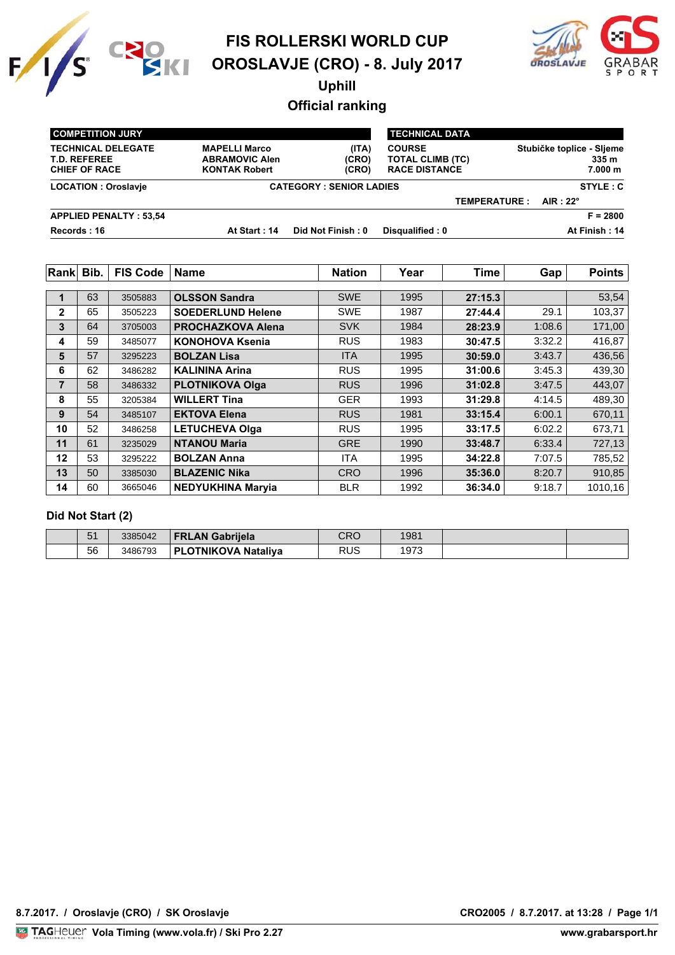



**Uphill**

# **Official ranking**

| <b>COMPETITION JURY</b>                                                  |                                                                       |                         | <b>TECHNICAL DATA</b>                                            |                     |                                               |
|--------------------------------------------------------------------------|-----------------------------------------------------------------------|-------------------------|------------------------------------------------------------------|---------------------|-----------------------------------------------|
| <b>TECHNICAL DELEGATE</b><br><b>T.D. REFEREE</b><br><b>CHIEF OF RACE</b> | <b>MAPELLI Marco</b><br><b>ABRAMOVIC Alen</b><br><b>KONTAK Robert</b> | (ITA)<br>(CRO)<br>(CRO) | <b>COURSE</b><br><b>TOTAL CLIMB (TC)</b><br><b>RACE DISTANCE</b> |                     | Stubičke toplice - Sljeme<br>335 m<br>7.000 m |
| <b>LOCATION: Oroslavie</b>                                               | <b>CATEGORY: SENIOR LADIES</b>                                        |                         |                                                                  |                     | STYLE: C                                      |
|                                                                          |                                                                       |                         |                                                                  | <b>TEMPERATURE:</b> | AIR : 22 $^{\circ}$                           |
| <b>APPLIED PENALTY: 53,54</b>                                            |                                                                       |                         |                                                                  |                     | $F = 2800$                                    |
| Records: 16                                                              | At Start: 14                                                          | Did Not Finish : 0      | Disqualified: 0                                                  |                     | At Finish: 14                                 |

| Rank           | Bib. | <b>FIS Code</b> | <b>Name</b>              | <b>Nation</b> | Year | <b>Time</b> | Gap    | <b>Points</b> |
|----------------|------|-----------------|--------------------------|---------------|------|-------------|--------|---------------|
|                |      |                 |                          |               |      |             |        |               |
| $\blacksquare$ | 63   | 3505883         | <b>OLSSON Sandra</b>     | <b>SWE</b>    | 1995 | 27:15.3     |        | 53,54         |
| $\mathbf{2}$   | 65   | 3505223         | <b>SOEDERLUND Helene</b> | <b>SWE</b>    | 1987 | 27:44.4     | 29.1   | 103,37        |
| 3              | 64   | 3705003         | <b>PROCHAZKOVA Alena</b> | <b>SVK</b>    | 1984 | 28:23.9     | 1:08.6 | 171,00        |
| 4              | 59   | 3485077         | <b>KONOHOVA Ksenia</b>   | <b>RUS</b>    | 1983 | 30:47.5     | 3:32.2 | 416,87        |
| 5              | 57   | 3295223         | <b>BOLZAN Lisa</b>       | <b>ITA</b>    | 1995 | 30:59.0     | 3:43.7 | 436,56        |
| 6              | 62   | 3486282         | <b>KALININA Arina</b>    | <b>RUS</b>    | 1995 | 31:00.6     | 3:45.3 | 439,30        |
| 7              | 58   | 3486332         | <b>PLOTNIKOVA Olga</b>   | <b>RUS</b>    | 1996 | 31:02.8     | 3:47.5 | 443,07        |
| 8              | 55   | 3205384         | <b>WILLERT Tina</b>      | <b>GER</b>    | 1993 | 31:29.8     | 4:14.5 | 489,30        |
| 9              | 54   | 3485107         | <b>EKTOVA Elena</b>      | <b>RUS</b>    | 1981 | 33:15.4     | 6:00.1 | 670,11        |
| 10             | 52   | 3486258         | <b>LETUCHEVA Olga</b>    | <b>RUS</b>    | 1995 | 33:17.5     | 6:02.2 | 673,71        |
| 11             | 61   | 3235029         | <b>NTANOU Maria</b>      | <b>GRE</b>    | 1990 | 33:48.7     | 6:33.4 | 727,13        |
| 12             | 53   | 3295222         | <b>BOLZAN Anna</b>       | <b>ITA</b>    | 1995 | 34:22.8     | 7:07.5 | 785,52        |
| 13             | 50   | 3385030         | <b>BLAZENIC Nika</b>     | <b>CRO</b>    | 1996 | 35:36.0     | 8:20.7 | 910,85        |
| 14             | 60   | 3665046         | <b>NEDYUKHINA Maryia</b> | <b>BLR</b>    | 1992 | 36:34.0     | 9:18.7 | 1010,16       |

### **Did Not Start (2)**

| $E^A$<br>ັ | 3385042 | <b>FRLAN Gabriiela</b>             | CRC         | 1981 |  |
|------------|---------|------------------------------------|-------------|------|--|
| 56         | 3486793 | Nataliva<br><b>_OTNIKOVA</b><br>ÞІ | DI IC<br>אט | 1973 |  |